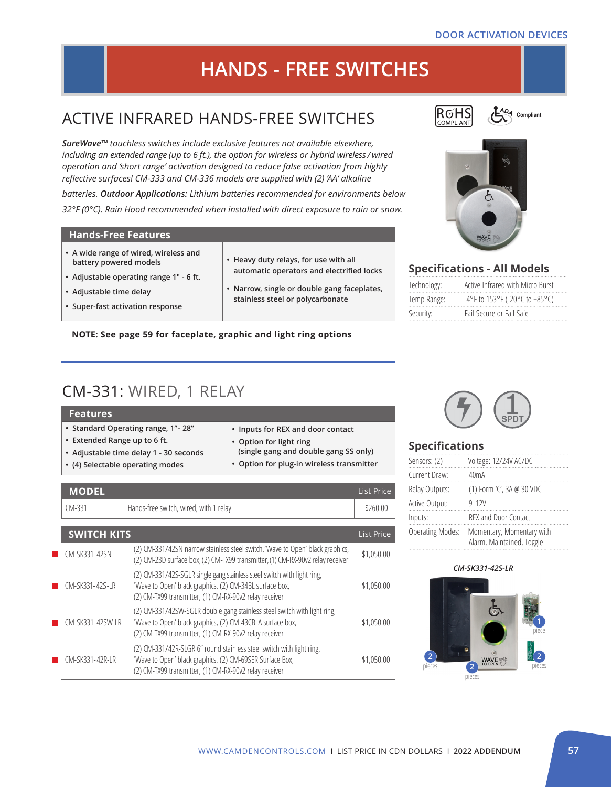#### **DOOR ACTIVATION DEVICES**

# **HANDS - FREE SWITCHES**

# ACTIVE INFRARED HANDS-FREE SWITCHES

*SureWave™ touchless switches include exclusive features not available elsewhere, including an extended range (up to 6 ft.), the option for wireless or hybrid wireless / wired operation and 'short range' activation designed to reduce false activation from highly reflective surfaces! CM-333 and CM-336 models are supplied with (2) 'AA' alkaline* 

*batteries. Outdoor Applications: Lithium batteries recommended for environments below 32°F (0°C). Rain Hood recommended when installed with direct exposure to rain or snow.* 

#### **Hands-Free Features**

- **• A wide range of wired, wireless and battery powered models**
- **• Adjustable operating range 1" 6 ft.**
- **• Adjustable time delay**
- **• Super-fast activation response**
- **• Heavy duty relays, for use with all automatic operators and electrified locks**
- **Narrow, single or double gang faceplates, stainless steel or polycarbonate**

#### **NOTE: See page 59 for faceplate, graphic and light ring options**

# CM-331: WIRED, 1 RELAY

| <b>Features</b>                        |                                           |
|----------------------------------------|-------------------------------------------|
| • Standard Operating range, 1" - 28"   | • Inputs for REX and door contact         |
| • Extended Range up to 6 ft.           | • Option for light ring                   |
| • Adjustable time delay 1 - 30 seconds | (single gang and double gang SS only)     |
| • (4) Selectable operating modes       | • Option for plug-in wireless transmitter |

|                        | <b>MODEL</b>       |                                                                                                                                                                                                 | <b>List Price</b> |
|------------------------|--------------------|-------------------------------------------------------------------------------------------------------------------------------------------------------------------------------------------------|-------------------|
|                        | $CM-331$           | Hands-free switch, wired, with 1 relay                                                                                                                                                          | \$260.00          |
|                        |                    |                                                                                                                                                                                                 |                   |
|                        | <b>SWITCH KITS</b> |                                                                                                                                                                                                 | <b>List Price</b> |
| <b>Service Service</b> | CM-SK331-42SN      | (2) CM-331/42SN narrow stainless steel switch, 'Wave to Open' black graphics,<br>(2) CM-23D surface box, (2) CM-TX99 transmitter, (1) CM-RX-90v2 relay receiver                                 | \$1,050.00        |
|                        | CM-SK331-42S-LR    | (2) CM-331/42S-SGLR single gang stainless steel switch with light ring,<br>'Wave to Open' black graphics, (2) CM-34BL surface box,<br>(2) CM-TX99 transmitter, (1) CM-RX-90v2 relay receiver    | \$1,050.00        |
|                        | CM-SK331-42SW-LR   | (2) CM-331/42SW-SGLR double gang stainless steel switch with light ring,<br>'Wave to Open' black graphics, (2) CM-43CBLA surface box,<br>(2) CM-TX99 transmitter, (1) CM-RX-90v2 relay receiver | \$1,050.00        |
| <b>Service Service</b> | CM-SK331-42R-LR    | (2) CM-331/42R-SLGR 6" round stainless steel switch with light ring,<br>'Wave to Open' black graphics, (2) CM-69SER Surface Box,<br>(2) CM-TX99 transmitter, (1) CM-RX-90v2 relay receiver      | \$1,050.00        |



C<sub>ADA</sub> Compliant



### **Specifications - All Models**

| Technology: | Active Infrared with Micro Burst         |
|-------------|------------------------------------------|
| Temp Range: | $-4^{\circ}$ F to 153°F (-20°C to +85°C) |
| Security:   | Fail Secure or Fail Safe                 |



#### **Specifications**

| Sensors: (2)            | Voltage: 12/24V AC/DC                                  |
|-------------------------|--------------------------------------------------------|
| Current Draw:           | 40 <sub>m</sub> A                                      |
| Relay Outputs:          | (1) Form 'C', 3A @ 30 VDC                              |
| Active Output:          | $9 - 12V$                                              |
| Inputs:                 | <b>REX and Door Contact</b>                            |
| <b>Operating Modes:</b> | Momentary, Momentary with<br>Alarm, Maintained, Toggle |

#### *CM-SK331-42S-LR*

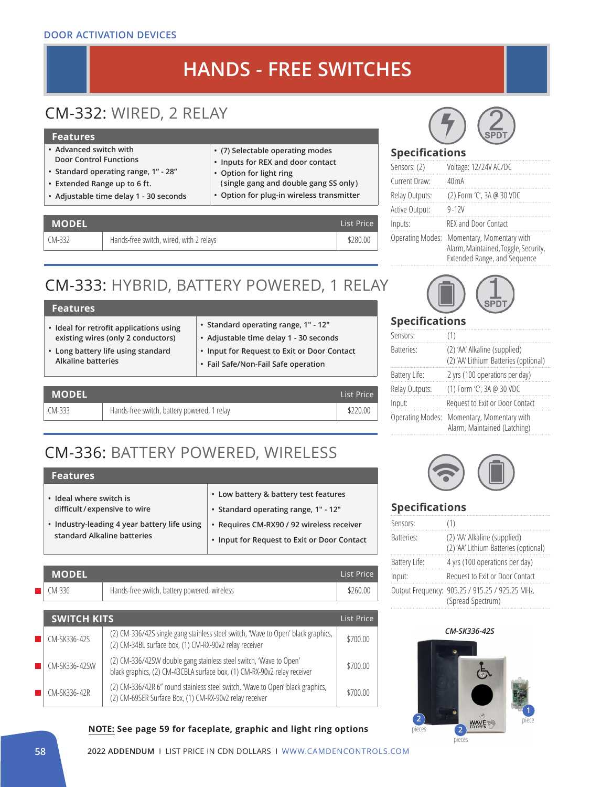#### **DOOR ACTIVATION DEVICES**

# **HANDS - FREE SWITCHES**

# CM-332: WIRED, 2 RELAY

#### **Features**

- **• Advanced switch with Door Control Functions**
- **• Standard operating range, 1" 28"**
- **• Extended Range up to 6 ft.**
- **• Adjustable time delay 1 30 seconds**

### **• (7) Selectable operating modes**

- **• Inputs for REX and door contact**
- **• Option for light ring**
- **( single gang and double gang SS only)**
- **• Option for plug-in wireless transmitter**

| <b>MODEL</b> |                                         | List Price |
|--------------|-----------------------------------------|------------|
| CM-332       | Hands-free switch, wired, with 2 relays | \$280.00   |

# CM-333: HYBRID, BATTERY POWERED, 1 RELAY

| <b>Features</b>                                                                                                                                  |                                                                                                                                                                      |
|--------------------------------------------------------------------------------------------------------------------------------------------------|----------------------------------------------------------------------------------------------------------------------------------------------------------------------|
| • Ideal for retrofit applications using<br>existing wires (only 2 conductors)<br>• Long battery life using standard<br><b>Alkaline batteries</b> | • Standard operating range, 1" - 12"<br>• Adjustable time delay 1 - 30 seconds<br>• Input for Request to Exit or Door Contact<br>• Fail Safe/Non-Fail Safe operation |
|                                                                                                                                                  |                                                                                                                                                                      |



# CM-336: BATTERY POWERED, WIRELESS

### **Features**

| • Ideal where switch is                      | • Low battery & battery test features       |
|----------------------------------------------|---------------------------------------------|
| difficult/expensive to wire                  | • Standard operating range, 1" - 12"        |
| • Industry-leading 4 year battery life using | • Requires CM-RX90 / 92 wireless receiver   |
| standard Alkaline batteries                  | • Input for Request to Exit or Door Contact |

| MODEL' |                                              | List Price |
|--------|----------------------------------------------|------------|
| CM-336 | Hands-free switch, battery powered, wireless | \$260.00   |

| <b>SWITCH KITS</b> |                                                                                                                                                | List Price |
|--------------------|------------------------------------------------------------------------------------------------------------------------------------------------|------------|
| CM-SK336-42S       | (2) CM-336/42S single gang stainless steel switch, 'Wave to Open' black graphics,<br>(2) CM-34BL surface box, (1) CM-RX-90v2 relay receiver    | \$700.00   |
| CM-SK336-42SW      | (2) CM-336/42SW double gang stainless steel switch, 'Wave to Open'<br>black graphics, (2) CM-43CBLA surface box, (1) CM-RX-90v2 relay receiver | \$700.00   |
| CM-SK336-42R       | (2) CM-336/42R 6" round stainless steel switch, 'Wave to Open' black graphics,<br>(2) CM-69SER Surface Box, (1) CM-RX-90v2 relay receiver      | \$700.00   |

#### **NOTE: See page 59 for faceplate, graphic and light ring options**



### **Specifications**

| Sensors: (2)            | Voltage: 12/24V AC/DC                                                                             |
|-------------------------|---------------------------------------------------------------------------------------------------|
| Current Draw:           | $40 \,\mathrm{mA}$                                                                                |
| Relay Outputs:          | (2) Form 'C', 3A @ 30 VDC                                                                         |
| Active Output:          | $9 - 12V$                                                                                         |
| Inputs:                 | REX and Door Contact                                                                              |
| <b>Operating Modes:</b> | Momentary, Momentary with<br>Alarm, Maintained, Toggle, Security,<br>Extended Range, and Sequence |



### **Specifications**

| Sensors:                | (1)                                                                   |
|-------------------------|-----------------------------------------------------------------------|
| <b>Batteries:</b>       | (2) 'AA' Alkaline (supplied)<br>(2) 'AA' Lithium Batteries (optional) |
| Battery Life:           | 2 yrs (100 operations per day)                                        |
| Relay Outputs:          | (1) Form 'C', 3A @ 30 VDC                                             |
| Input:                  | Request to Exit or Door Contact                                       |
| <b>Operating Modes:</b> | Momentary, Momentary with<br>Alarm, Maintained (Latching)             |
|                         |                                                                       |



### **Specifications**

| Sensors:      | (1)                                                                   |
|---------------|-----------------------------------------------------------------------|
| Batteries:    | (2) 'AA' Alkaline (supplied)<br>(2) 'AA' Lithium Batteries (optional) |
| Battery Life: | 4 yrs (100 operations per day)                                        |
| Input:        | Request to Exit or Door Contact                                       |
|               | Output Frequency: 905.25 / 915.25 / 925.25 MHz.<br>(Spread Spectrum)  |

#### *CM-SK336-42S*